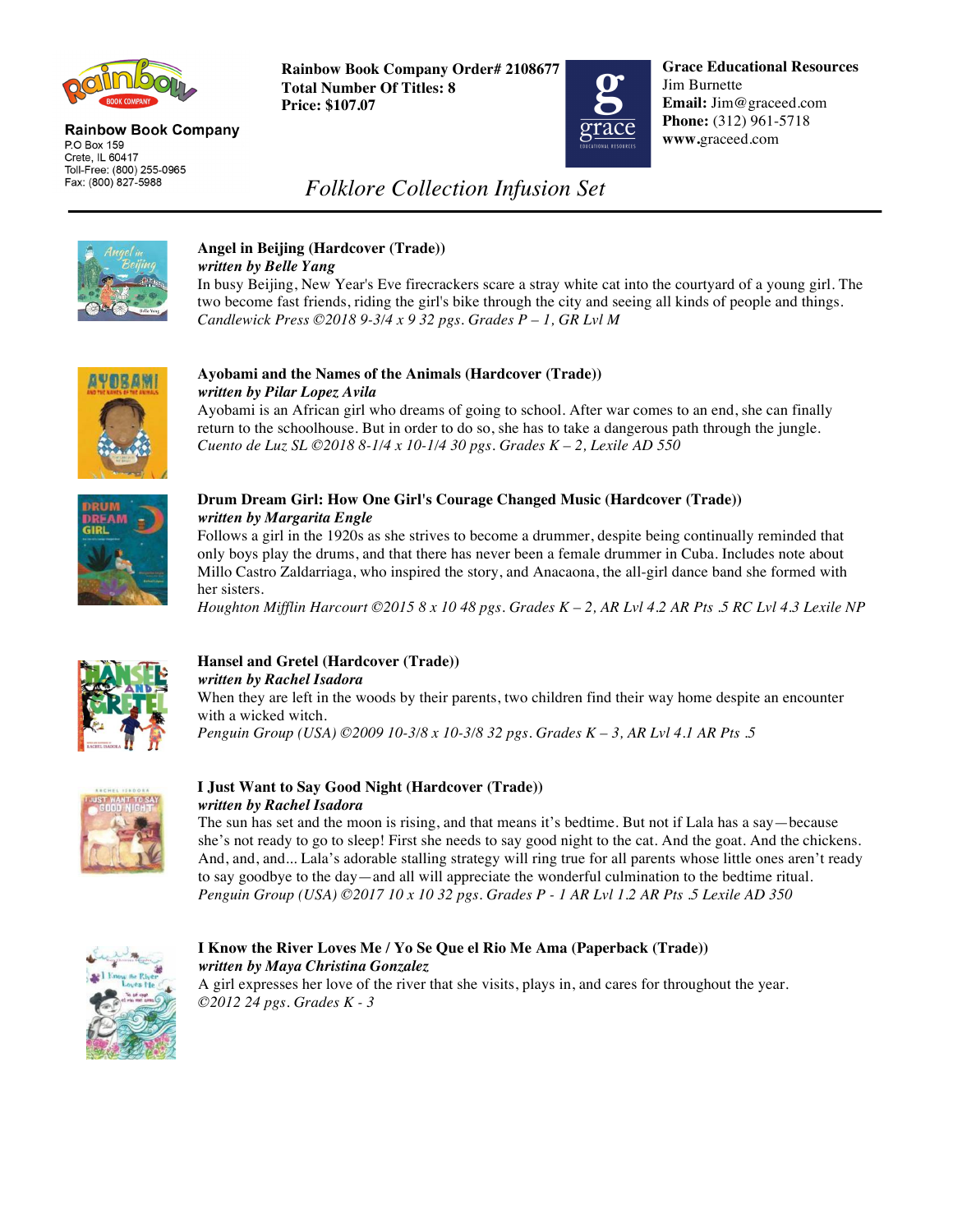

#### **Rainbow Book Company** P.O Box 159 Crete, IL 60417 Toll-Free: (800) 255-0965 Fax: (800) 827-5988

**Rainbow Book Company Order# 2108677 Total Number Of Titles: 8 Price: \$107.07**



**Grace Educational Resources** Jim Burnette **Email:** Jim@graceed.com **Phone:** (312) 961-5718 **www.**graceed.com

## *Folklore Collection Infusion Set*



#### **Angel in Beijing (Hardcover (Trade))**  *written by Belle Yang*

In busy Beijing, New Year's Eve firecrackers scare a stray white cat into the courtyard of a young girl. The two become fast friends, riding the girl's bike through the city and seeing all kinds of people and things. *Candlewick Press ©2018 9-3/4 x 9 32 pgs. Grades P – 1, GR Lvl M* 



#### **Ayobami and the Names of the Animals (Hardcover (Trade))** *written by Pilar Lopez Avila*

Ayobami is an African girl who dreams of going to school. After war comes to an end, she can finally return to the schoolhouse. But in order to do so, she has to take a dangerous path through the jungle. *Cuento de Luz SL ©2018 8-1/4 x 10-1/4 30 pgs. Grades K – 2, Lexile AD 550* 



### **Drum Dream Girl: How One Girl's Courage Changed Music (Hardcover (Trade))** *written by Margarita Engle*

Follows a girl in the 1920s as she strives to become a drummer, despite being continually reminded that only boys play the drums, and that there has never been a female drummer in Cuba. Includes note about Millo Castro Zaldarriaga, who inspired the story, and Anacaona, the all-girl dance band she formed with her sisters.

*Houghton Mifflin Harcourt ©2015 8 x 10 48 pgs. Grades K – 2, AR Lvl 4.2 AR Pts .5 RC Lvl 4.3 Lexile NP* 



#### **Hansel and Gretel (Hardcover (Trade))**  *written by Rachel Isadora*

When they are left in the woods by their parents, two children find their way home despite an encounter with a wicked witch.

*Penguin Group (USA) ©2009 10-3/8 x 10-3/8 32 pgs. Grades K – 3, AR Lvl 4.1 AR Pts .5* 



#### **I Just Want to Say Good Night (Hardcover (Trade))**  *written by Rachel Isadora*

The sun has set and the moon is rising, and that means it's bedtime. But not if Lala has a say—because she's not ready to go to sleep! First she needs to say good night to the cat. And the goat. And the chickens. And, and, and... Lala's adorable stalling strategy will ring true for all parents whose little ones aren't ready to say goodbye to the day—and all will appreciate the wonderful culmination to the bedtime ritual. *Penguin Group (USA) ©2017 10 x 10 32 pgs. Grades P - 1 AR Lvl 1.2 AR Pts .5 Lexile AD 350* 



### **I Know the River Loves Me / Yo Se Que el Rio Me Ama (Paperback (Trade))** *written by Maya Christina Gonzalez*

A girl expresses her love of the river that she visits, plays in, and cares for throughout the year. *©2012 24 pgs. Grades K - 3*